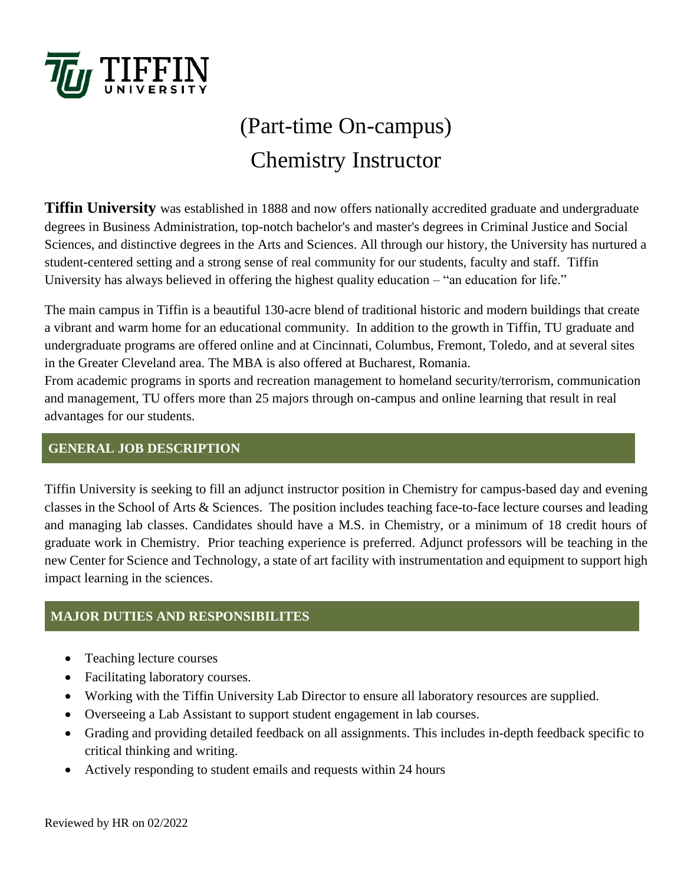

# (Part-time On-campus) Chemistry Instructor

**Tiffin University** was established in 1888 and now offers nationally accredited graduate and undergraduate degrees in Business Administration, top-notch bachelor's and master's degrees in Criminal Justice and Social Sciences, and distinctive degrees in the Arts and Sciences. All through our history, the University has nurtured a student-centered setting and a strong sense of real community for our students, faculty and staff. Tiffin University has always believed in offering the highest quality education – "an education for life."

The main campus in Tiffin is a beautiful 130-acre blend of traditional historic and modern buildings that create a vibrant and warm home for an educational community. In addition to the growth in Tiffin, TU graduate and undergraduate programs are offered online and at Cincinnati, Columbus, Fremont, Toledo, and at several sites in the Greater Cleveland area. The MBA is also offered at Bucharest, Romania.

From academic programs in sports and recreation management to homeland security/terrorism, communication and management, TU offers more than 25 majors through on-campus and online learning that result in real advantages for our students.

### **GENERAL JOB DESCRIPTION**

Tiffin University is seeking to fill an adjunct instructor position in Chemistry for campus-based day and evening classes in the School of Arts & Sciences. The position includes teaching face-to-face lecture courses and leading and managing lab classes. Candidates should have a M.S. in Chemistry, or a minimum of 18 credit hours of graduate work in Chemistry. Prior teaching experience is preferred. Adjunct professors will be teaching in the new Center for Science and Technology, a state of art facility with instrumentation and equipment to support high impact learning in the sciences.

#### **MAJOR DUTIES AND RESPONSIBILITES**

- Teaching lecture courses
- Facilitating laboratory courses.
- Working with the Tiffin University Lab Director to ensure all laboratory resources are supplied.
- Overseeing a Lab Assistant to support student engagement in lab courses.
- Grading and providing detailed feedback on all assignments. This includes in-depth feedback specific to critical thinking and writing.
- Actively responding to student emails and requests within 24 hours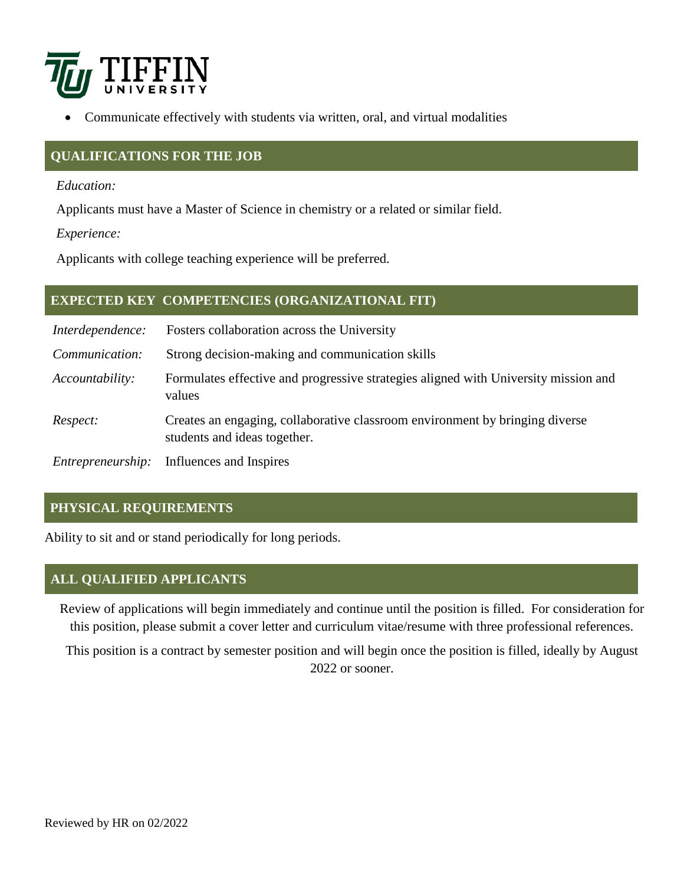

• Communicate effectively with students via written, oral, and virtual modalities

#### **QUALIFICATIONS FOR THE JOB**

*Education:*

Applicants must have a Master of Science in chemistry or a related or similar field.

*Experience:*

Applicants with college teaching experience will be preferred.

#### **EXPECTED KEY COMPETENCIES (ORGANIZATIONAL FIT)**

| Interdependence:  | Fosters collaboration across the University                                                                  |
|-------------------|--------------------------------------------------------------------------------------------------------------|
| Communication:    | Strong decision-making and communication skills                                                              |
| Accountability:   | Formulates effective and progressive strategies aligned with University mission and<br>values                |
| Respect:          | Creates an engaging, collaborative classroom environment by bringing diverse<br>students and ideas together. |
| Entrepreneurship: | Influences and Inspires                                                                                      |

## **PHYSICAL REQUIREMENTS**

Ability to sit and or stand periodically for long periods.

#### **ALL QUALIFIED APPLICANTS**

Review of applications will begin immediately and continue until the position is filled. For consideration for this position, please submit a cover letter and curriculum vitae/resume with three professional references.

This position is a contract by semester position and will begin once the position is filled, ideally by August 2022 or sooner.